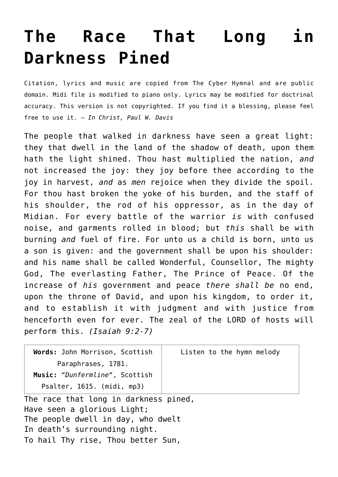## **[The Race That Long in](http://reproachofmen.org/hymns-and-music/the-race-that-long-in-darkness-pined/) [Darkness Pined](http://reproachofmen.org/hymns-and-music/the-race-that-long-in-darkness-pined/)**

Citation, lyrics and music are copied from [The Cyber Hymnal](http://www.hymntime.com/tch/index.htm) and are public domain. Midi file is modified to piano only. Lyrics may be modified for doctrinal accuracy. This version is not copyrighted. If you find it a blessing, please feel free to use it. — *In Christ, Paul W. Davis*

The people that walked in darkness have seen a great light: they that dwell in the land of the shadow of death, upon them hath the light shined. Thou hast multiplied the nation, *and* not increased the joy: they joy before thee according to the joy in harvest, *and* as *men* rejoice when they divide the spoil. For thou hast broken the yoke of his burden, and the staff of his shoulder, the rod of his oppressor, as in the day of Midian. For every battle of the warrior *is* with confused noise, and garments rolled in blood; but *this* shall be with burning *and* fuel of fire. For unto us a child is born, unto us a son is given: and the government shall be upon his shoulder: and his name shall be called Wonderful, Counsellor, The mighty God, The everlasting Father, The Prince of Peace. Of the increase of *his* government and peace *there shall be* no end, upon the throne of David, and upon his kingdom, to order it, and to establish it with judgment and with justice from henceforth even for ever. The zeal of the LORD of hosts will perform this. *(Isaiah 9:2-7)*

| Words: John Morrison, Scottish        | Listen to the hymn melody |
|---------------------------------------|---------------------------|
| Paraphrases, 1781.                    |                           |
| Music: "Dunfermline", Scottish        |                           |
| Psalter, 1615. (midi, mp3)            |                           |
| The race that long in darkness pined, |                           |
| Have seen a glorious Light;           |                           |
| The people dwell in day, who dwelt    |                           |
| In death's surrounding night.         |                           |
| To hail Thy rise, Thou better Sun,    |                           |